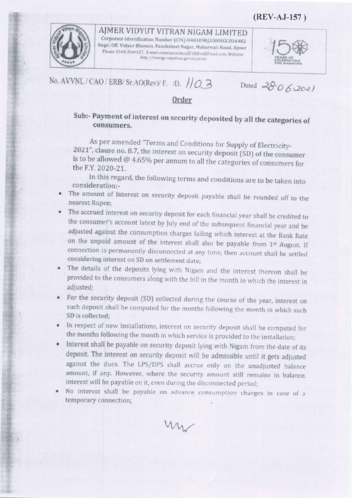(REV-AJ-157)



AJMER VIDYUT VITRAN NIGAM LIMITED Corporate Identification Number (CIN)-U40109RJ2000SGC016482 Regd. Off. Vidyut Bhawan, Panchsheel Nagar, Makarwali Road, Ajmer Phone: 0145-2644517, E-mail-revenuesection2018@rediffmail.com, Websitehttp://energy.rajasthan.gov.in/avvnl



No. AVVNL / CAO / ERB/ Sr. AO(Rev)/ F. D. 10 3

Dated  $28062021$ 

## Order

## Sub:- Payment of interest on security deposited by all the categories of consumers.

As per amended "Terms and Conditions for Supply of Electricity-2021", clause no. 8.7, the interest on security deposit (SD) of the consumer is to be allowed  $@$  4.65% per annum to all the categories of consumers for the F.Y. 2020-21.

In this regard, the following terms and conditions are to be taken into consideration:-

- The amount of Interest on security deposit payable shall be rounded off to the nearest Rupee;
- The accrued interest on security deposit for each financial year shall be credited to the consumer's account latest by July end of the subsequent financial year and be adjusted against the consumption charges failing which interest at the Bank Rate on the unpaid amount of the interest shall also be payable from 1st August. If connection is permanently disconnected at any time, then account shall be settled considering interest on SD on settlement date;
- The details of the deposits lying with Nigam and the interest thereon shall be provided to the consumers along with the bill in the month in which the interest in adjusted:
- For the security deposit (SD) collected during the course of the year, interest on such deposit shall be computed for the months following the month in which such SD is collected:
- In respect of new installations, interest on security deposit shall be computed for the months following the month in which service is provided to the installation;
- Interest shall be payable on security deposit lying with Nigam from the date of its deposit. The interest on security deposit will be admissible until it gets adjusted against the dues. The LPS/DPS shall accrue only on the unadjusted balance amount, if any. However, where the security amount still remains in balance, interest will be payable on it, even during the disconnected period;
- No interest shall be payable on advance consumption charges in case of a temporary connection;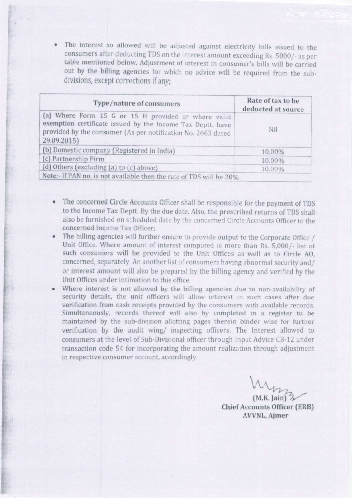The interest so allowed will be adjusted against electricity bills issued to the consumers after deducting TDS on the interest amount exceeding Rs. 5000/- as per table mentioned below. Adjustment of interest in consumer's bills will be carried out by the billing agencies for which no advice will be required from the subdivisions, except corrections if any:

| Type/nature of consumers                                                                                                                                                                         | Rate of tax to be<br>deducted at source |
|--------------------------------------------------------------------------------------------------------------------------------------------------------------------------------------------------|-----------------------------------------|
| (a) Where Form 15 G or 15 H provided or where valid<br>exemption certificate issued by the Income Tax Deptt. have<br>provided by the consumer (As per notification No. 2663 dated<br>29.09.2015) | Nil                                     |
| (b) Domestic company (Registered in India)                                                                                                                                                       | 10.00%                                  |
| (c) Partnership Firm                                                                                                                                                                             | 10.00%                                  |
| (d) Others (excluding (a) to (c) above)                                                                                                                                                          | 10.00%                                  |
| Note:- If PAN no. is not available then the rate of TDS will be 20%                                                                                                                              |                                         |

- The concerned Circle Accounts Officer shall be responsible for the payment of TDS to the Income Tax Deptt. By the due date. Also, the prescribed returns of TDS shall also be furnished on scheduled date by the concerncd Circle Accounts Officer to the concerned lncome Tax Officer;
- ?he billing agencies will further ensure to provide output to the Corporate Office / Unit Office. Where amount of intercst computed is more than Rs. 5,000/. Iist of such consumers will be provided to the Unit Offices as well as to Circle AO, concerned, separately. An another list of consumers having abnormal security and/ or interest amount will also be prepared by the billing agency and veritied by the Unit Offices under intimation to this office.
- Where interest is not allowed by the billing agencies due to non-availability of security details, the unit officers will allow interest in such cases after due verification from cash receipts provided by the consumers with available records. Simultaneously, records thereof will also by completed in a register to be maintained by the sub-division allofting pages therein binder wise for further verification by the audit wing/ inspecting officers. The Interest allowed to consumers at the level of Sub-Divisional officer through Input Advice CB-12 under transaction code 54 for incorporating the amount realization through adjustment in respective consumer account, accordingly.

 $W_{\mu_2}$ 

 $(M.K.$  Jain $\tilde{Z}$ Chief Accounts Officer (ERB) AVVNL, Aimer